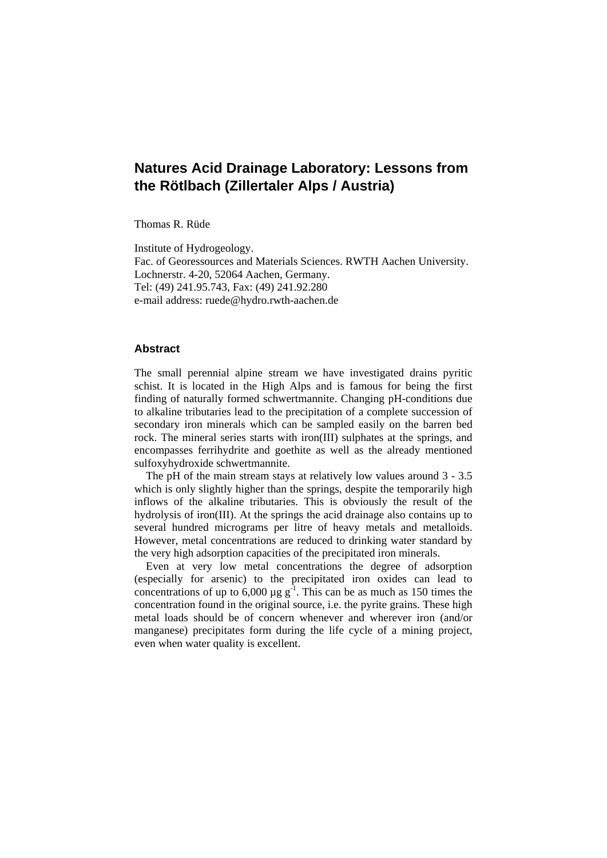# **Natures Acid Drainage Laboratory: Lessons from the Rötlbach (Zillertaler Alps / Austria)**

Thomas R. Rüde

Institute of Hydrogeology. Fac. of Georessources and Materials Sciences. RWTH Aachen University. Lochnerstr. 4-20, 52064 Aachen, Germany. Tel: (49) 241.95.743, Fax: (49) 241.92.280 e-mail address: ruede@hydro.rwth-aachen.de

#### **Abstract**

The small perennial alpine stream we have investigated drains pyritic schist. It is located in the High Alps and is famous for being the first finding of naturally formed schwertmannite. Changing pH-conditions due to alkaline tributaries lead to the precipitation of a complete succession of secondary iron minerals which can be sampled easily on the barren bed rock. The mineral series starts with iron(III) sulphates at the springs, and encompasses ferrihydrite and goethite as well as the already mentioned sulfoxyhydroxide schwertmannite.

The pH of the main stream stays at relatively low values around 3 - 3.5 which is only slightly higher than the springs, despite the temporarily high inflows of the alkaline tributaries. This is obviously the result of the hydrolysis of iron(III). At the springs the acid drainage also contains up to several hundred micrograms per litre of heavy metals and metalloids. However, metal concentrations are reduced to drinking water standard by the very high adsorption capacities of the precipitated iron minerals.

Even at very low metal concentrations the degree of adsorption (especially for arsenic) to the precipitated iron oxides can lead to concentrations of up to  $6,000 \mu g g^{-1}$ . This can be as much as 150 times the concentration found in the original source, i.e. the pyrite grains. These high metal loads should be of concern whenever and wherever iron (and/or manganese) precipitates form during the life cycle of a mining project, even when water quality is excellent.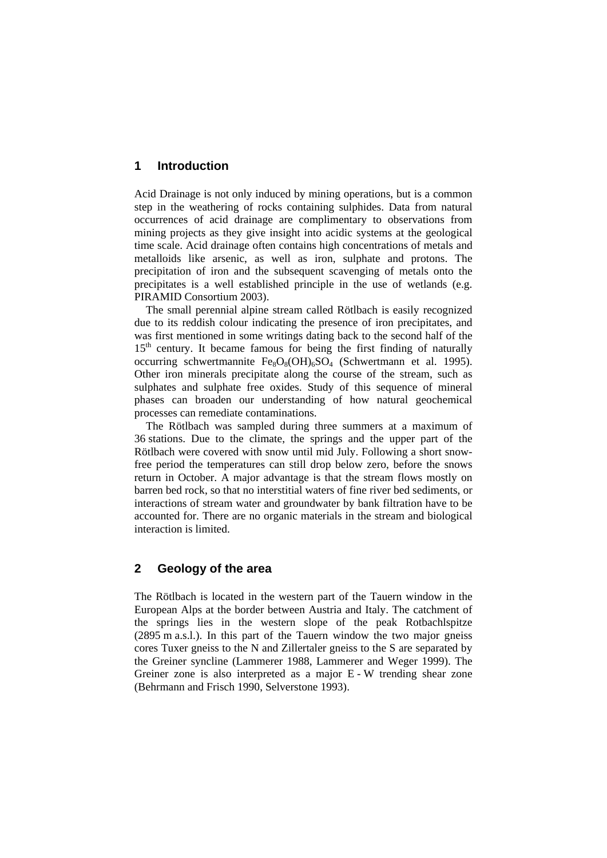## **1 Introduction**

Acid Drainage is not only induced by mining operations, but is a common step in the weathering of rocks containing sulphides. Data from natural occurrences of acid drainage are complimentary to observations from mining projects as they give insight into acidic systems at the geological time scale. Acid drainage often contains high concentrations of metals and metalloids like arsenic, as well as iron, sulphate and protons. The precipitation of iron and the subsequent scavenging of metals onto the precipitates is a well established principle in the use of wetlands (e.g. PIRAMID Consortium 2003).

The small perennial alpine stream called Rötlbach is easily recognized due to its reddish colour indicating the presence of iron precipitates, and was first mentioned in some writings dating back to the second half of the  $15<sup>th</sup>$  century. It became famous for being the first finding of naturally occurring schwertmannite  $Fe_8O_8(OH)_6SO_4$  (Schwertmann et al. 1995). Other iron minerals precipitate along the course of the stream, such as sulphates and sulphate free oxides. Study of this sequence of mineral phases can broaden our understanding of how natural geochemical processes can remediate contaminations.

The Rötlbach was sampled during three summers at a maximum of 36 stations. Due to the climate, the springs and the upper part of the Rötlbach were covered with snow until mid July. Following a short snowfree period the temperatures can still drop below zero, before the snows return in October. A major advantage is that the stream flows mostly on barren bed rock, so that no interstitial waters of fine river bed sediments, or interactions of stream water and groundwater by bank filtration have to be accounted for. There are no organic materials in the stream and biological interaction is limited.

## **2 Geology of the area**

The Rötlbach is located in the western part of the Tauern window in the European Alps at the border between Austria and Italy. The catchment of the springs lies in the western slope of the peak Rotbachlspitze (2895 m a.s.l.). In this part of the Tauern window the two major gneiss cores Tuxer gneiss to the N and Zillertaler gneiss to the S are separated by the Greiner syncline (Lammerer 1988, Lammerer and Weger 1999). The Greiner zone is also interpreted as a major E - W trending shear zone (Behrmann and Frisch 1990, Selverstone 1993).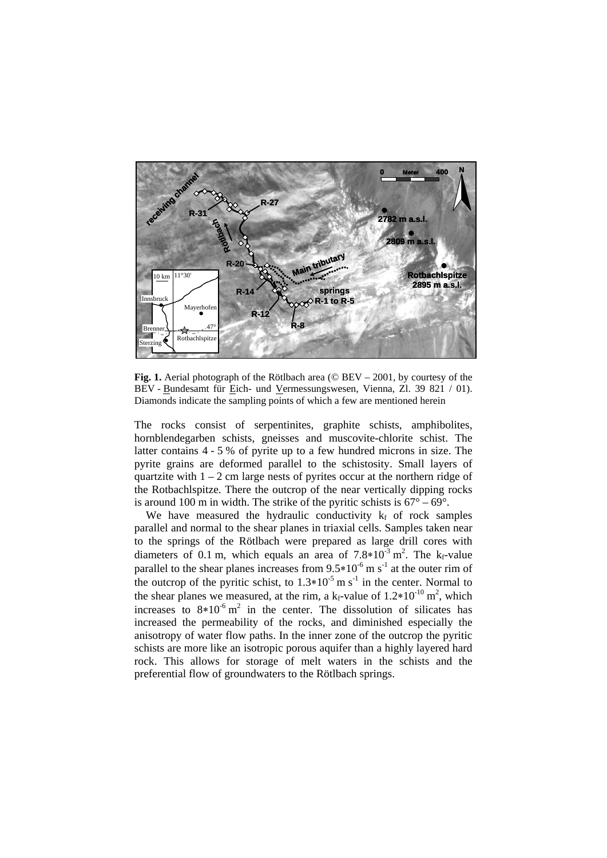

**Fig. 1.** Aerial photograph of the Rötlbach area (© BEV – 2001, by courtesy of the BEV - Bundesamt für Eich- und Vermessungswesen, Vienna, Zl. 39 821 / 01). Diamonds indicate the sampling points of which a few are mentioned herein

The rocks consist of serpentinites, graphite schists, amphibolites, hornblendegarben schists, gneisses and muscovite-chlorite schist. The latter contains 4 - 5 % of pyrite up to a few hundred microns in size. The pyrite grains are deformed parallel to the schistosity. Small layers of quartzite with  $1 - 2$  cm large nests of pyrites occur at the northern ridge of the Rotbachlspitze. There the outcrop of the near vertically dipping rocks is around 100 m in width. The strike of the pyritic schists is  $67^{\circ} - 69^{\circ}$ .

We have measured the hydraulic conductivity  $k_f$  of rock samples parallel and normal to the shear planes in triaxial cells. Samples taken near to the springs of the Rötlbach were prepared as large drill cores with diameters of 0.1 m, which equals an area of  $7.8*10<sup>-3</sup>$  m<sup>2</sup>. The k<sub>f</sub>-value parallel to the shear planes increases from  $9.5*10^{-6}$  m s<sup>-1</sup> at the outer rim of the outcrop of the pyritic schist, to  $1.3*10^{-5}$  m s<sup>-1</sup> in the center. Normal to the shear planes we measured, at the rim, a  $k_f$ -value of 1.2\*10<sup>-10</sup> m<sup>2</sup>, which increases to  $8*10^{-6}$  m<sup>2</sup> in the center. The dissolution of silicates has increased the permeability of the rocks, and diminished especially the anisotropy of water flow paths. In the inner zone of the outcrop the pyritic schists are more like an isotropic porous aquifer than a highly layered hard rock. This allows for storage of melt waters in the schists and the preferential flow of groundwaters to the Rötlbach springs.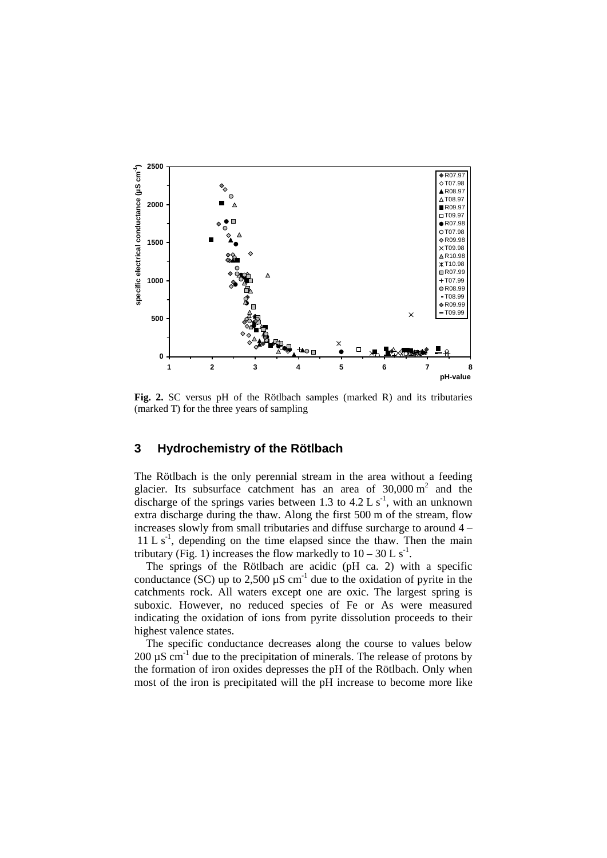

**Fig. 2.** SC versus pH of the Rötlbach samples (marked R) and its tributaries (marked T) for the three years of sampling

## **3 Hydrochemistry of the Rötlbach**

The Rötlbach is the only perennial stream in the area without a feeding glacier. Its subsurface catchment has an area of  $30,000 \text{ m}^2$  and the discharge of the springs varies between 1.3 to 4.2 L  $s^{-1}$ , with an unknown extra discharge during the thaw. Along the first 500 m of the stream, flow increases slowly from small tributaries and diffuse surcharge to around 4 –  $11 L s<sup>-1</sup>$ , depending on the time elapsed since the thaw. Then the main tributary (Fig. 1) increases the flow markedly to  $10 - 30$  L s<sup>-1</sup>.

The springs of the Rötlbach are acidic (pH ca. 2) with a specific conductance (SC) up to  $2,500 \mu S$  cm<sup>-1</sup> due to the oxidation of pyrite in the catchments rock. All waters except one are oxic. The largest spring is suboxic. However, no reduced species of Fe or As were measured indicating the oxidation of ions from pyrite dissolution proceeds to their highest valence states.

The specific conductance decreases along the course to values below 200  $\mu$ S cm<sup>-1</sup> due to the precipitation of minerals. The release of protons by the formation of iron oxides depresses the pH of the Rötlbach. Only when most of the iron is precipitated will the pH increase to become more like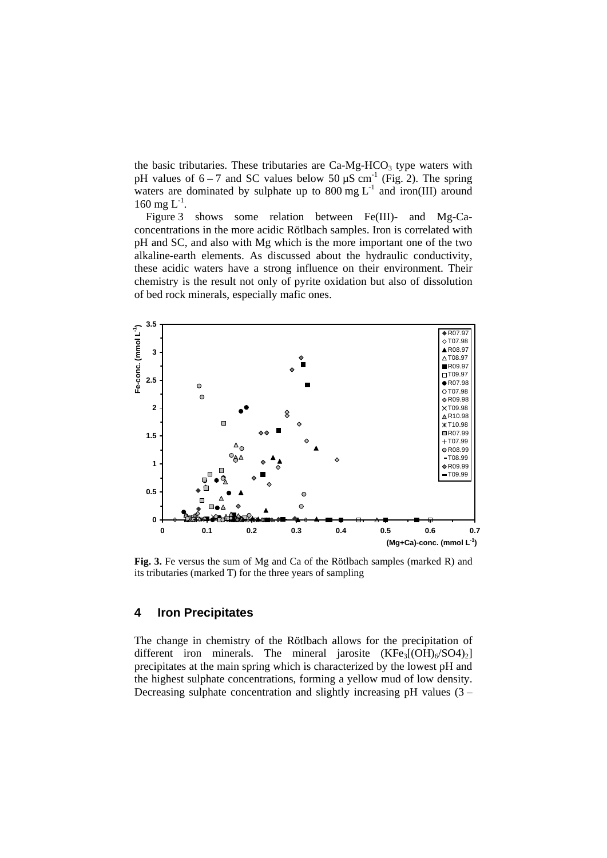the basic tributaries. These tributaries are  $Ca-Mg-HCO<sub>3</sub>$  type waters with pH values of  $6 - 7$  and SC values below 50  $\mu$ S cm<sup>-1</sup> (Fig. 2). The spring waters are dominated by sulphate up to 800 mg  $L^{-1}$  and iron(III) around 160 mg  $L^{-1}$ .

Figure 3 shows some relation between Fe(III)- and Mg-Caconcentrations in the more acidic Rötlbach samples. Iron is correlated with pH and SC, and also with Mg which is the more important one of the two alkaline-earth elements. As discussed about the hydraulic conductivity, these acidic waters have a strong influence on their environment. Their chemistry is the result not only of pyrite oxidation but also of dissolution of bed rock minerals, especially mafic ones.



**Fig. 3.** Fe versus the sum of Mg and Ca of the Rötlbach samples (marked R) and its tributaries (marked T) for the three years of sampling

## **4 Iron Precipitates**

The change in chemistry of the Rötlbach allows for the precipitation of different iron minerals. The mineral jarosite  $(KFe<sub>3</sub>[(OH)<sub>6</sub>/SO4)<sub>2</sub>]$ precipitates at the main spring which is characterized by the lowest pH and the highest sulphate concentrations, forming a yellow mud of low density. Decreasing sulphate concentration and slightly increasing pH values (3 –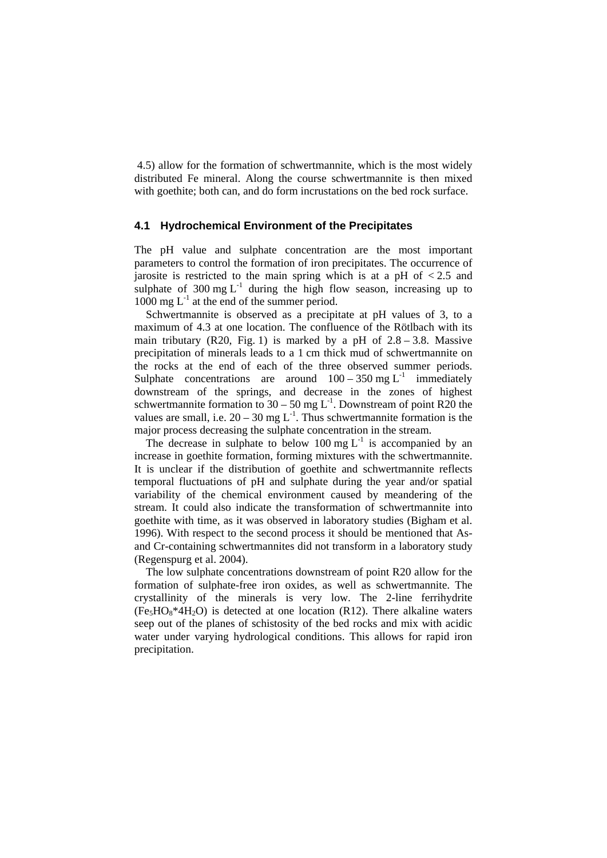4.5) allow for the formation of schwertmannite, which is the most widely distributed Fe mineral. Along the course schwertmannite is then mixed with goethite; both can, and do form incrustations on the bed rock surface.

#### **4.1 Hydrochemical Environment of the Precipitates**

The pH value and sulphate concentration are the most important parameters to control the formation of iron precipitates. The occurrence of jarosite is restricted to the main spring which is at a pH of  $\lt 2.5$  and sulphate of  $300 \text{ mg } L^{-1}$  during the high flow season, increasing up to 1000 mg  $L^{-1}$  at the end of the summer period.

Schwertmannite is observed as a precipitate at pH values of 3, to a maximum of 4.3 at one location. The confluence of the Rötlbach with its main tributary (R20, Fig. 1) is marked by a pH of  $2.8 - 3.8$ . Massive precipitation of minerals leads to a 1 cm thick mud of schwertmannite on the rocks at the end of each of the three observed summer periods. Sulphate concentrations are around  $100 - 350$  mg L<sup>-1</sup> immediately downstream of the springs, and decrease in the zones of highest schwertmannite formation to  $30 - 50$  mg L<sup>-1</sup>. Downstream of point R20 the values are small, i.e.  $20 - 30$  mg L<sup>-1</sup>. Thus schwertmannite formation is the major process decreasing the sulphate concentration in the stream.

The decrease in sulphate to below  $100 \text{ mg } L^{-1}$  is accompanied by an increase in goethite formation, forming mixtures with the schwertmannite. It is unclear if the distribution of goethite and schwertmannite reflects temporal fluctuations of pH and sulphate during the year and/or spatial variability of the chemical environment caused by meandering of the stream. It could also indicate the transformation of schwertmannite into goethite with time, as it was observed in laboratory studies (Bigham et al. 1996). With respect to the second process it should be mentioned that Asand Cr-containing schwertmannites did not transform in a laboratory study (Regenspurg et al. 2004).

The low sulphate concentrations downstream of point R20 allow for the formation of sulphate-free iron oxides, as well as schwertmannite. The crystallinity of the minerals is very low. The 2-line ferrihydrite  $(Fe<sub>5</sub>HO<sub>8</sub><sup>*</sup>4H<sub>2</sub>O)$  is detected at one location (R12). There alkaline waters seep out of the planes of schistosity of the bed rocks and mix with acidic water under varying hydrological conditions. This allows for rapid iron precipitation.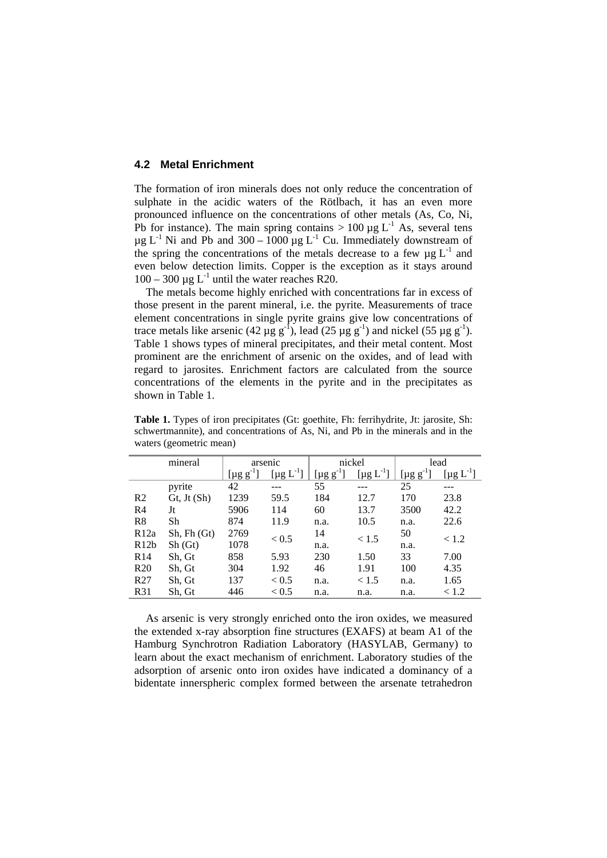## **4.2 Metal Enrichment**

The formation of iron minerals does not only reduce the concentration of sulphate in the acidic waters of the Rötlbach, it has an even more pronounced influence on the concentrations of other metals (As, Co, Ni, Pb for instance). The main spring contains  $> 100 \mu g L^{-1}$  As, several tens  $\mu$ g L<sup>-1</sup> Ni and Pb and 300 – 1000  $\mu$ g L<sup>-1</sup> Cu. Immediately downstream of the spring the concentrations of the metals decrease to a few  $\mu$ g L<sup>-1</sup> and even below detection limits. Copper is the exception as it stays around  $100 - 300 \mu g L^{-1}$  until the water reaches R20.

The metals become highly enriched with concentrations far in excess of those present in the parent mineral, i.e. the pyrite. Measurements of trace element concentrations in single pyrite grains give low concentrations of trace metals like arsenic (42  $\mu$ g g<sup>-1</sup>), lead (25  $\mu$ g g<sup>-1</sup>) and nickel (55  $\mu$ g g<sup>-1</sup>). Table 1 shows types of mineral precipitates, and their metal content. Most prominent are the enrichment of arsenic on the oxides, and of lead with regard to jarosites. Enrichment factors are calculated from the source concentrations of the elements in the pyrite and in the precipitates as shown in Table 1.

|                 | mineral            | arsenic                     |                             | nickel                |                  | lead                        |                             |
|-----------------|--------------------|-----------------------------|-----------------------------|-----------------------|------------------|-----------------------------|-----------------------------|
|                 |                    | [ $\mu$ g g <sup>-1</sup> ] | $\left[\mu g L^{-1}\right]$ | [ $\mu$ g g $^{-1}$ ] | $[\mu g L^{-1}]$ | [ $\mu$ g g <sup>-1</sup> ] | [ $\mu$ g L <sup>-1</sup> ] |
|                 | pyrite             | 42                          |                             | 55                    |                  | 25                          |                             |
| R <sub>2</sub>  | Gt, Jt(Sh)         | 1239                        | 59.5                        | 184                   | 12.7             | 170                         | 23.8                        |
| R <sub>4</sub>  | Jt                 | 5906                        | 114                         | 60                    | 13.7             | 3500                        | 42.2                        |
| R8              | Sh                 | 874                         | 11.9                        | n.a.                  | 10.5             | n.a.                        | 22.6                        |
| R12a            | $Sh$ , $Fh$ $(Gt)$ | 2769                        | < 0.5                       | 14                    | < 1.5            | 50                          | < 1.2                       |
| R12b            | Sh(Gt)             | 1078                        |                             | n.a.                  |                  | n.a.                        |                             |
| R <sub>14</sub> | Sh, Gt             | 858                         | 5.93                        | 230                   | 1.50             | 33                          | 7.00                        |
| R <sub>20</sub> | Sh, Gt             | 304                         | 1.92                        | 46                    | 1.91             | 100                         | 4.35                        |
| R <sub>27</sub> | Sh, Gt             | 137                         | < 0.5                       | n.a.                  | < 1.5            | n.a.                        | 1.65                        |
| R31             | Sh, Gt             | 446                         | ${}_{< 0.5}$                | n.a.                  | n.a.             | n.a.                        | < 1.2                       |

**Table 1.** Types of iron precipitates (Gt: goethite, Fh: ferrihydrite, Jt: jarosite, Sh: schwertmannite), and concentrations of As, Ni, and Pb in the minerals and in the waters (geometric mean)

As arsenic is very strongly enriched onto the iron oxides, we measured the extended x-ray absorption fine structures (EXAFS) at beam A1 of the Hamburg Synchrotron Radiation Laboratory (HASYLAB, Germany) to learn about the exact mechanism of enrichment. Laboratory studies of the adsorption of arsenic onto iron oxides have indicated a dominancy of a bidentate innerspheric complex formed between the arsenate tetrahedron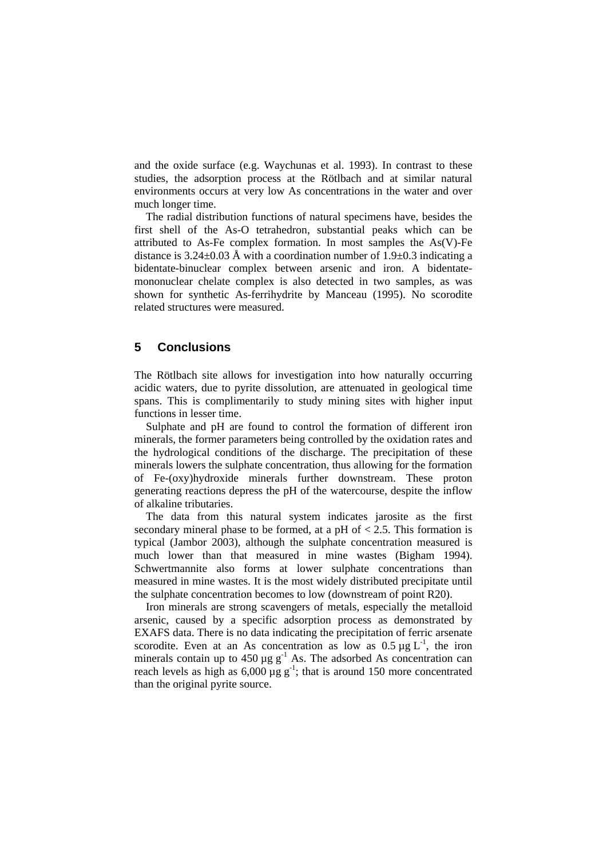and the oxide surface (e.g. Waychunas et al. 1993). In contrast to these studies, the adsorption process at the Rötlbach and at similar natural environments occurs at very low As concentrations in the water and over much longer time.

The radial distribution functions of natural specimens have, besides the first shell of the As-O tetrahedron, substantial peaks which can be attributed to As-Fe complex formation. In most samples the As(V)-Fe distance is 3.24 $\pm$ 0.03 Å with a coordination number of 1.9 $\pm$ 0.3 indicating a bidentate-binuclear complex between arsenic and iron. A bidentatemononuclear chelate complex is also detected in two samples, as was shown for synthetic As-ferrihydrite by Manceau (1995). No scorodite related structures were measured.

## **5 Conclusions**

The Rötlbach site allows for investigation into how naturally occurring acidic waters, due to pyrite dissolution, are attenuated in geological time spans. This is complimentarily to study mining sites with higher input functions in lesser time.

Sulphate and pH are found to control the formation of different iron minerals, the former parameters being controlled by the oxidation rates and the hydrological conditions of the discharge. The precipitation of these minerals lowers the sulphate concentration, thus allowing for the formation of Fe-(oxy)hydroxide minerals further downstream. These proton generating reactions depress the pH of the watercourse, despite the inflow of alkaline tributaries.

The data from this natural system indicates jarosite as the first secondary mineral phase to be formed, at a pH of  $< 2.5$ . This formation is typical (Jambor 2003), although the sulphate concentration measured is much lower than that measured in mine wastes (Bigham 1994). Schwertmannite also forms at lower sulphate concentrations than measured in mine wastes. It is the most widely distributed precipitate until the sulphate concentration becomes to low (downstream of point R20).

Iron minerals are strong scavengers of metals, especially the metalloid arsenic, caused by a specific adsorption process as demonstrated by EXAFS data. There is no data indicating the precipitation of ferric arsenate scorodite. Even at an As concentration as low as  $0.5 \mu g L^{-1}$ , the iron minerals contain up to  $450 \mu g g^{-1}$  As. The adsorbed As concentration can reach levels as high as  $6,000 \mu g g^{-1}$ ; that is around 150 more concentrated than the original pyrite source.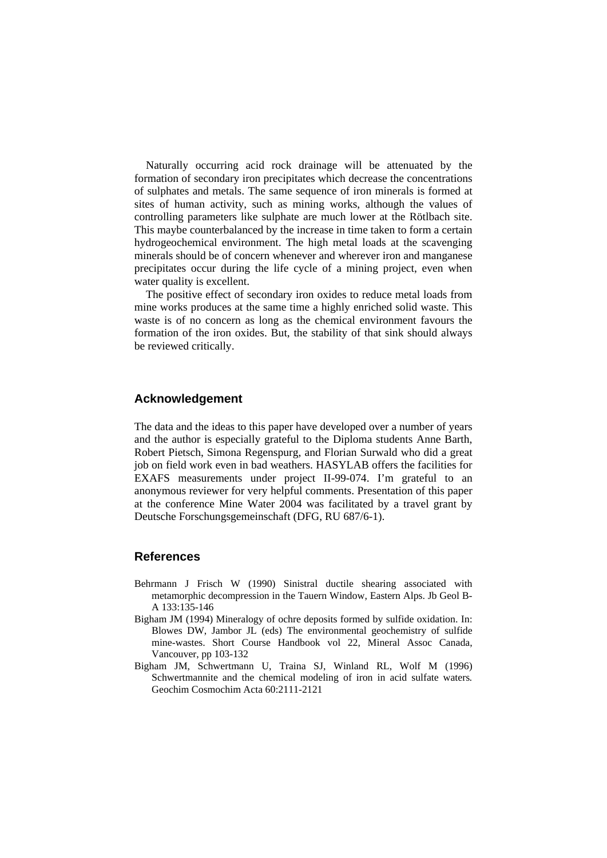Naturally occurring acid rock drainage will be attenuated by the formation of secondary iron precipitates which decrease the concentrations of sulphates and metals. The same sequence of iron minerals is formed at sites of human activity, such as mining works, although the values of controlling parameters like sulphate are much lower at the Rötlbach site. This maybe counterbalanced by the increase in time taken to form a certain hydrogeochemical environment. The high metal loads at the scavenging minerals should be of concern whenever and wherever iron and manganese precipitates occur during the life cycle of a mining project, even when water quality is excellent.

The positive effect of secondary iron oxides to reduce metal loads from mine works produces at the same time a highly enriched solid waste. This waste is of no concern as long as the chemical environment favours the formation of the iron oxides. But, the stability of that sink should always be reviewed critically.

## **Acknowledgement**

The data and the ideas to this paper have developed over a number of years and the author is especially grateful to the Diploma students Anne Barth, Robert Pietsch, Simona Regenspurg, and Florian Surwald who did a great job on field work even in bad weathers. HASYLAB offers the facilities for EXAFS measurements under project II-99-074. I'm grateful to an anonymous reviewer for very helpful comments. Presentation of this paper at the conference Mine Water 2004 was facilitated by a travel grant by Deutsche Forschungsgemeinschaft (DFG, RU 687/6-1).

## **References**

- Behrmann J Frisch W (1990) Sinistral ductile shearing associated with metamorphic decompression in the Tauern Window, Eastern Alps. Jb Geol B-A 133:135-146
- Bigham JM (1994) Mineralogy of ochre deposits formed by sulfide oxidation. In: Blowes DW, Jambor JL (eds) The environmental geochemistry of sulfide mine-wastes. Short Course Handbook vol 22, Mineral Assoc Canada, Vancouver, pp 103-132
- Bigham JM, Schwertmann U, Traina SJ, Winland RL, Wolf M (1996) Schwertmannite and the chemical modeling of iron in acid sulfate waters*.*  Geochim Cosmochim Acta 60:2111-2121